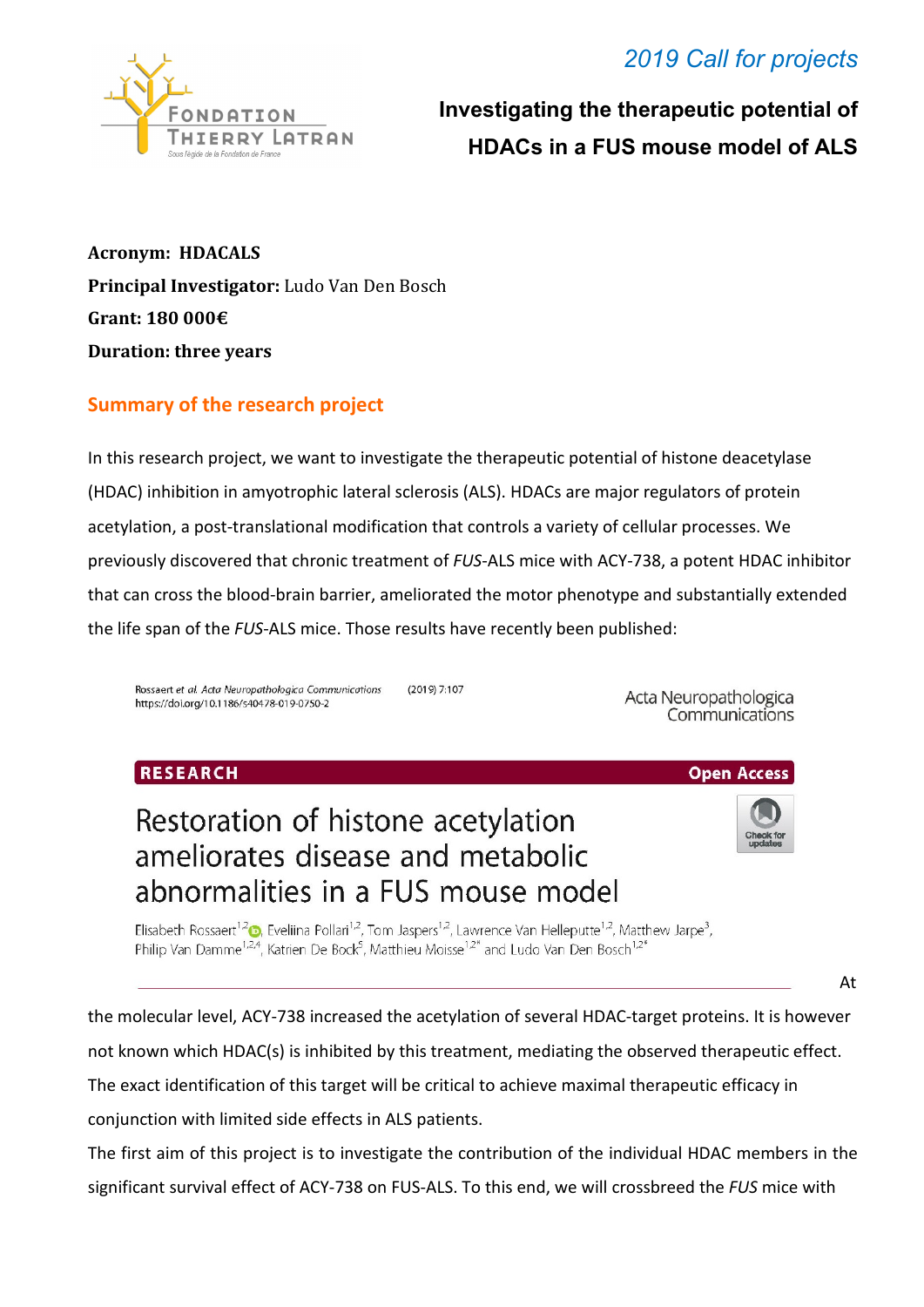## *2019 Call for projects*



 **Investigating the therapeutic potential of HDACs in a FUS mouse model of ALS**

**Acronym: HDACALS Principal Investigator:** Ludo Van Den Bosch **Grant: 180 000€ Duration: three years**

### **Summary of the research project**

In this research project, we want to investigate the therapeutic potential of histone deacetylase (HDAC) inhibition in amyotrophic lateral sclerosis (ALS). HDACs are major regulators of protein acetylation, a post-translational modification that controls a variety of cellular processes. We previously discovered that chronic treatment of *FUS*-ALS mice with ACY-738, a potent HDAC inhibitor that can cross the blood-brain barrier, ameliorated the motor phenotype and substantially extended the life span of the *FUS*-ALS mice. Those results have recently been published:

Rossaert et al. Acta Neuropathologica Communications  $(2019)$  7:107 https://doi.org/10.1186/s40478-019-0750-2

Acta Neuropathologica Communications

#### RESEARCH



**Open Access** 

# Restoration of histone acetylation ameliorates disease and metabolic abnormalities in a FUS mouse model

Elisabeth Rossaert<sup>1,2</sup><sup>0</sup>, Eveliina Pollari<sup>1,2</sup>, Tom Jaspers<sup>1,2</sup>, Lawrence Van Helleputte<sup>1,2</sup>, Matthew Jarpe<sup>3</sup>, Philip Van Damme<sup>1,2,4</sup>, Katrien De Bock<sup>5</sup>, Matthieu Moisse<sup>1,2\*</sup> and Ludo Van Den Bosch<sup>1,2\*</sup>

At

the molecular level, ACY-738 increased the acetylation of several HDAC-target proteins. It is however not known which HDAC(s) is inhibited by this treatment, mediating the observed therapeutic effect. The exact identification of this target will be critical to achieve maximal therapeutic efficacy in

conjunction with limited side effects in ALS patients.

The first aim of this project is to investigate the contribution of the individual HDAC members in the significant survival effect of ACY-738 on FUS-ALS. To this end, we will crossbreed the *FUS* mice with